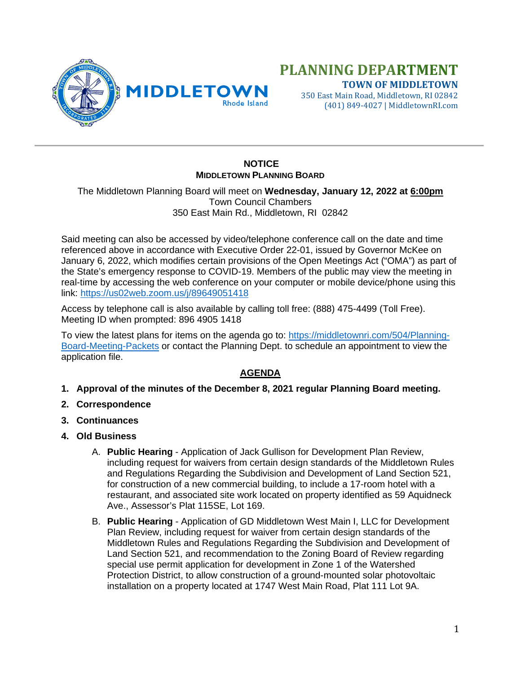

## **PLANNING DEPARTMENT TOWN OF MIDDLETOWN**

350 East Main Road, Middletown, RI 02842 (401) 849-4027 | MiddletownRI.com

## **NOTICE MIDDLETOWN PLANNING BOARD**

The Middletown Planning Board will meet on **Wednesday, January 12, 2022 at 6:00pm** Town Council Chambers 350 East Main Rd., Middletown, RI 02842

Said meeting can also be accessed by video/telephone conference call on the date and time referenced above in accordance with Executive Order 22-01, issued by Governor McKee on January 6, 2022, which modifies certain provisions of the Open Meetings Act ("OMA") as part of the State's emergency response to COVID-19. Members of the public may view the meeting in real-time by accessing the web conference on your computer or mobile device/phone using this link: <https://us02web.zoom.us/j/89649051418>

Access by telephone call is also available by calling toll free: (888) 475-4499 (Toll Free). Meeting ID when prompted: 896 4905 1418

To view the latest plans for items on the agenda go to: [https://middletownri.com/504/Planning-](https://middletownri.com/504/Planning-Board-Meeting-Packets)[Board-Meeting-Packets](https://middletownri.com/504/Planning-Board-Meeting-Packets) or contact the Planning Dept. to schedule an appointment to view the application file.

## **AGENDA**

- **1. Approval of the minutes of the December 8, 2021 regular Planning Board meeting.**
- **2. Correspondence**
- **3. Continuances**
- **4. Old Business**
	- A. **Public Hearing** Application of Jack Gullison for Development Plan Review, including request for waivers from certain design standards of the Middletown Rules and Regulations Regarding the Subdivision and Development of Land Section 521, for construction of a new commercial building, to include a 17-room hotel with a restaurant, and associated site work located on property identified as 59 Aquidneck Ave., Assessor's Plat 115SE, Lot 169.
	- B. **Public Hearing** Application of GD Middletown West Main I, LLC for Development Plan Review, including request for waiver from certain design standards of the Middletown Rules and Regulations Regarding the Subdivision and Development of Land Section 521, and recommendation to the Zoning Board of Review regarding special use permit application for development in Zone 1 of the Watershed Protection District, to allow construction of a ground-mounted solar photovoltaic installation on a property located at 1747 West Main Road, Plat 111 Lot 9A.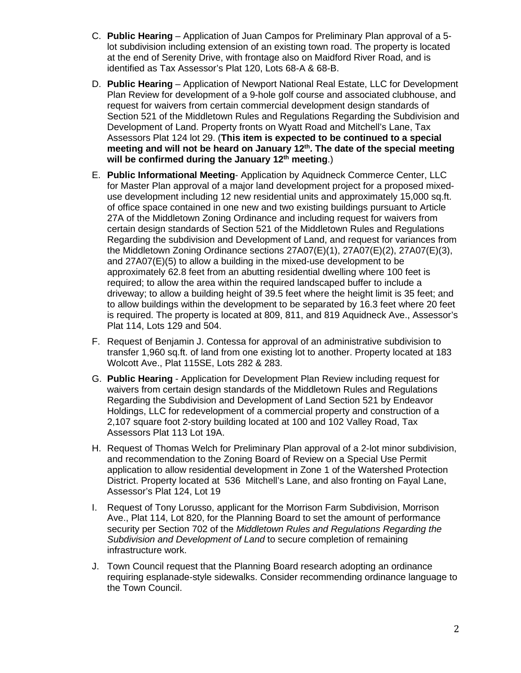- C. **Public Hearing** Application of Juan Campos for Preliminary Plan approval of a 5 lot subdivision including extension of an existing town road. The property is located at the end of Serenity Drive, with frontage also on Maidford River Road, and is identified as Tax Assessor's Plat 120, Lots 68-A & 68-B.
- D. **Public Hearing** Application of Newport National Real Estate, LLC for Development Plan Review for development of a 9-hole golf course and associated clubhouse, and request for waivers from certain commercial development design standards of Section 521 of the Middletown Rules and Regulations Regarding the Subdivision and Development of Land. Property fronts on Wyatt Road and Mitchell's Lane, Tax Assessors Plat 124 lot 29. (**This item is expected to be continued to a special meeting and will not be heard on January 12th. The date of the special meeting will be confirmed during the January 12th meeting**.)
- E. **Public Informational Meeting** Application by Aquidneck Commerce Center, LLC for Master Plan approval of a major land development project for a proposed mixeduse development including 12 new residential units and approximately 15,000 sq.ft. of office space contained in one new and two existing buildings pursuant to Article 27A of the Middletown Zoning Ordinance and including request for waivers from certain design standards of Section 521 of the Middletown Rules and Regulations Regarding the subdivision and Development of Land, and request for variances from the Middletown Zoning Ordinance sections 27A07(E)(1), 27A07(E)(2), 27A07(E)(3), and 27A07(E)(5) to allow a building in the mixed-use development to be approximately 62.8 feet from an abutting residential dwelling where 100 feet is required; to allow the area within the required landscaped buffer to include a driveway; to allow a building height of 39.5 feet where the height limit is 35 feet; and to allow buildings within the development to be separated by 16.3 feet where 20 feet is required. The property is located at 809, 811, and 819 Aquidneck Ave., Assessor's Plat 114, Lots 129 and 504.
- F. Request of Benjamin J. Contessa for approval of an administrative subdivision to transfer 1,960 sq.ft. of land from one existing lot to another. Property located at 183 Wolcott Ave., Plat 115SE, Lots 282 & 283.
- G. **Public Hearing** Application for Development Plan Review including request for waivers from certain design standards of the Middletown Rules and Regulations Regarding the Subdivision and Development of Land Section 521 by Endeavor Holdings, LLC for redevelopment of a commercial property and construction of a 2,107 square foot 2-story building located at 100 and 102 Valley Road, Tax Assessors Plat 113 Lot 19A.
- H. Request of Thomas Welch for Preliminary Plan approval of a 2-lot minor subdivision, and recommendation to the Zoning Board of Review on a Special Use Permit application to allow residential development in Zone 1 of the Watershed Protection District. Property located at 536 Mitchell's Lane, and also fronting on Fayal Lane, Assessor's Plat 124, Lot 19
- I. Request of Tony Lorusso, applicant for the Morrison Farm Subdivision, Morrison Ave., Plat 114, Lot 820, for the Planning Board to set the amount of performance security per Section 702 of the *Middletown Rules and Regulations Regarding the Subdivision and Development of Land* to secure completion of remaining infrastructure work.
- J. Town Council request that the Planning Board research adopting an ordinance requiring esplanade-style sidewalks. Consider recommending ordinance language to the Town Council.